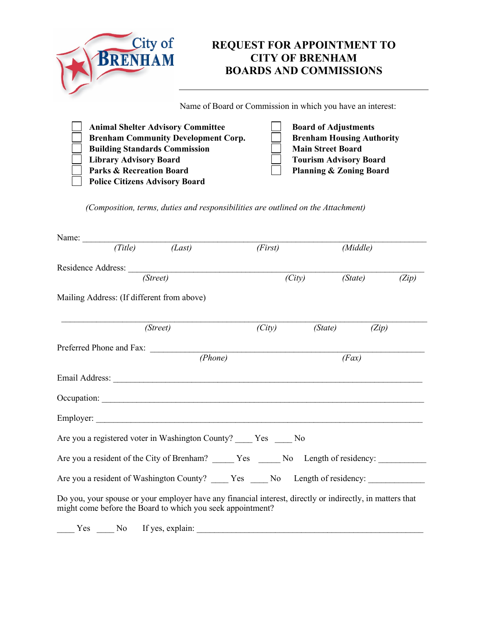| City of<br><b>RENHAM</b>                                                               | <b>REQUEST FOR APPOINTMENT TO</b><br><b>CITY OF BRENHAM</b><br><b>BOARDS AND COMMISSIONS</b> |  |  |
|----------------------------------------------------------------------------------------|----------------------------------------------------------------------------------------------|--|--|
|                                                                                        | Name of Board or Commission in which you have an interest:                                   |  |  |
| <b>Animal Shelter Advisory Committee</b><br><b>Brenham Community Development Corp.</b> | <b>Board of Adjustments</b><br><b>Brenham Housing Authority</b>                              |  |  |

| Brenham Community Development Corp.   | <b>Brenham Housing Author</b>      |
|---------------------------------------|------------------------------------|
| <b>Building Standards Commission</b>  | <b>Main Street Board</b>           |
| <b>Library Advisory Board</b>         | <b>Tourism Advisory Board</b>      |
| <b>Parks &amp; Recreation Board</b>   | <b>Planning &amp; Zoning Board</b> |
| <b>Police Citizens Advisory Board</b> |                                    |

*(Composition, terms, duties and responsibilities are outlined on the Attachment)*

| Name: $(Title)$ (Last)                                                                                                                                                  |          | (First) |         | (Middle) |       |  |
|-------------------------------------------------------------------------------------------------------------------------------------------------------------------------|----------|---------|---------|----------|-------|--|
|                                                                                                                                                                         |          |         |         |          |       |  |
|                                                                                                                                                                         | (Street) | (City)  |         | (State)  | (Zip) |  |
| Mailing Address: (If different from above)                                                                                                                              |          |         |         |          |       |  |
|                                                                                                                                                                         | (Street) | (City)  | (State) | (Zip)    |       |  |
| Preferred Phone and Fax:                                                                                                                                                |          |         |         |          |       |  |
|                                                                                                                                                                         | (Phone)  |         |         | (Fax)    |       |  |
|                                                                                                                                                                         |          |         |         |          |       |  |
|                                                                                                                                                                         |          |         |         |          |       |  |
|                                                                                                                                                                         |          |         |         |          |       |  |
| Are you a registered voter in Washington County? ____ Yes ____ No                                                                                                       |          |         |         |          |       |  |
| Are you a resident of the City of Brenham? ______ Yes ______ No Length of residency: __________                                                                         |          |         |         |          |       |  |
| Are you a resident of Washington County? _____ Yes _____ No Length of residency:                                                                                        |          |         |         |          |       |  |
| Do you, your spouse or your employer have any financial interest, directly or indirectly, in matters that<br>might come before the Board to which you seek appointment? |          |         |         |          |       |  |
|                                                                                                                                                                         |          |         |         |          |       |  |